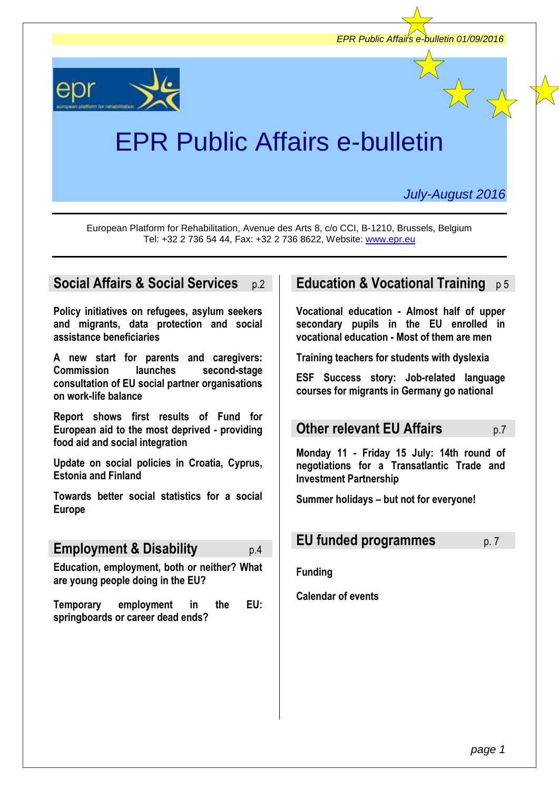

European Platform for Rehabilitation, Avenue des Arts 8, c/o CCI, B-1210, Brussels, Belgium Tel: +32 2 736 54 44, Fax: +32 2 736 8622, Website: [www.epr.eu](http://www.epr.eu/)

# **[Social Affairs](../2014/e-bulletin_Feb%202014.doc#employment) & Social Services** p.2

**Policy initiatives on refugees, asylum seekers and migrants, data protection and social assistance beneficiaries**

**A new start for parents and caregivers: Commission launches second-stage consultation of EU social partner organisations on work-life balance**

**Report shows first results of Fund for European aid to the most deprived - providing food aid and social integration**

**Update on social policies in Croatia, Cyprus, Estonia and Finland**

**Towards better social statistics for a social Europe**

# **Employment & Disability** p.4

**Education, employment, both or neither? What are young people doing in the EU?**

**Temporary employment in the EU: springboards or career dead ends?**

# **Education & Vocational Training** p5

**Vocational education - Almost half of upper secondary pupils in the EU enrolled in vocational education - Most of them are men**

**Training teachers for students with dyslexia**

**ESF Success story: Job-related language courses for migrants in Germany go national**

# **Other relevant EU Affairs** p.7

**Monday 11 - Friday 15 July: 14th round of negotiations for a Transatlantic Trade and Investment Partnership**

**Summer holidays – but not for everyone!**

# **EU funded programmes** p. 7

**Funding**

**Calendar of events**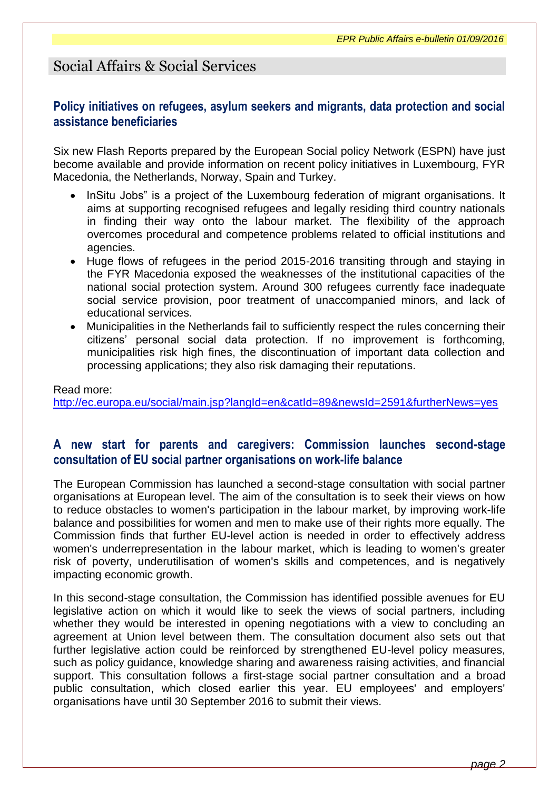# Social Affairs & Social Services

### **Policy initiatives on refugees, asylum seekers and migrants, data protection and social assistance beneficiaries**

Six new Flash Reports prepared by the European Social policy Network (ESPN) have just become available and provide information on recent policy initiatives in Luxembourg, FYR Macedonia, the Netherlands, Norway, Spain and Turkey.

- InSitu Jobs" is a project of the Luxembourg federation of migrant organisations. It aims at supporting recognised refugees and legally residing third country nationals in finding their way onto the labour market. The flexibility of the approach overcomes procedural and competence problems related to official institutions and agencies.
- Huge flows of refugees in the period 2015-2016 transiting through and staying in the FYR Macedonia exposed the weaknesses of the institutional capacities of the national social protection system. Around 300 refugees currently face inadequate social service provision, poor treatment of unaccompanied minors, and lack of educational services.
- Municipalities in the Netherlands fail to sufficiently respect the rules concerning their citizens' personal social data protection. If no improvement is forthcoming, municipalities risk high fines, the discontinuation of important data collection and processing applications; they also risk damaging their reputations.

### Read more: <http://ec.europa.eu/social/main.jsp?langId=en&catId=89&newsId=2591&furtherNews=yes>

### **A new start for parents and caregivers: Commission launches second-stage consultation of EU social partner organisations on work-life balance**

The European Commission has launched a second-stage consultation with social partner organisations at European level. The aim of the consultation is to seek their views on how to reduce obstacles to women's participation in the labour market, by improving work-life balance and possibilities for women and men to make use of their rights more equally. The Commission finds that further EU-level action is needed in order to effectively address women's underrepresentation in the labour market, which is leading to women's greater risk of poverty, underutilisation of women's skills and competences, and is negatively impacting economic growth.

In this second-stage consultation, the Commission has identified possible avenues for EU legislative action on which it would like to seek the views of social partners, including whether they would be interested in opening negotiations with a view to concluding an agreement at Union level between them. The consultation document also sets out that further legislative action could be reinforced by strengthened EU-level policy measures, such as policy guidance, knowledge sharing and awareness raising activities, and financial support. This consultation follows a first-stage social partner consultation and a broad public consultation, which closed earlier this year. EU employees' and employers' organisations have until 30 September 2016 to submit their views.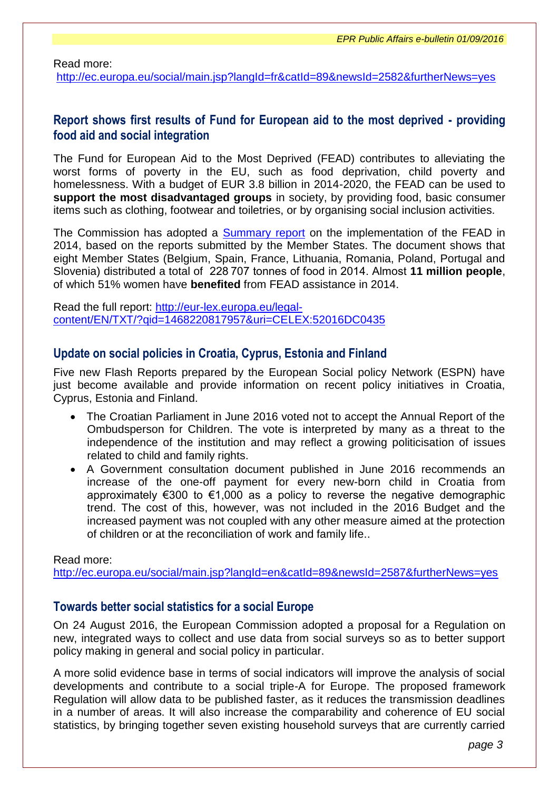Read more:

<http://ec.europa.eu/social/main.jsp?langId=fr&catId=89&newsId=2582&furtherNews=yes>

### **Report shows first results of Fund for European aid to the most deprived - providing food aid and social integration**

The Fund for European Aid to the Most Deprived (FEAD) contributes to alleviating the worst forms of poverty in the EU, such as food deprivation, child poverty and homelessness. With a budget of EUR 3.8 billion in 2014-2020, the FEAD can be used to **support the most disadvantaged groups** in society, by providing food, basic consumer items such as clothing, footwear and toiletries, or by organising social inclusion activities.

The Commission has adopted a [Summary report](http://europa.eu/%21Nm96xR) on the implementation of the FEAD in 2014, based on the reports submitted by the Member States. The document shows that eight Member States (Belgium, Spain, France, Lithuania, Romania, Poland, Portugal and Slovenia) distributed a total of 228 707 tonnes of food in 2014. Almost **11 million people**, of which 51% women have **benefited** from FEAD assistance in 2014.

Read the full report: [http://eur-lex.europa.eu/legal](http://eur-lex.europa.eu/legal-content/EN/TXT/?qid=1468220817957&uri=CELEX:52016DC0435)[content/EN/TXT/?qid=1468220817957&uri=CELEX:52016DC0435](http://eur-lex.europa.eu/legal-content/EN/TXT/?qid=1468220817957&uri=CELEX:52016DC0435)

#### **Update on social policies in Croatia, Cyprus, Estonia and Finland**

Five new Flash Reports prepared by the European Social policy Network (ESPN) have just become available and provide information on recent policy initiatives in Croatia, Cyprus, Estonia and Finland.

- The Croatian Parliament in June 2016 voted not to accept the Annual Report of the Ombudsperson for Children. The vote is interpreted by many as a threat to the independence of the institution and may reflect a growing politicisation of issues related to child and family rights.
- A Government consultation document published in June 2016 recommends an increase of the one-off payment for every new-born child in Croatia from approximately €300 to €1,000 as a policy to reverse the negative demographic trend. The cost of this, however, was not included in the 2016 Budget and the increased payment was not coupled with any other measure aimed at the protection of children or at the reconciliation of work and family life..

Read more:

<http://ec.europa.eu/social/main.jsp?langId=en&catId=89&newsId=2587&furtherNews=yes>

#### **Towards better social statistics for a social Europe**

On 24 August 2016, the European Commission adopted a proposal for a Regulation on new, integrated ways to collect and use data from social surveys so as to better support policy making in general and social policy in particular.

A more solid evidence base in terms of social indicators will improve the analysis of social developments and contribute to a social triple-A for Europe. The proposed framework Regulation will allow data to be published faster, as it reduces the transmission deadlines in a number of areas. It will also increase the comparability and coherence of EU social statistics, by bringing together seven existing household surveys that are currently carried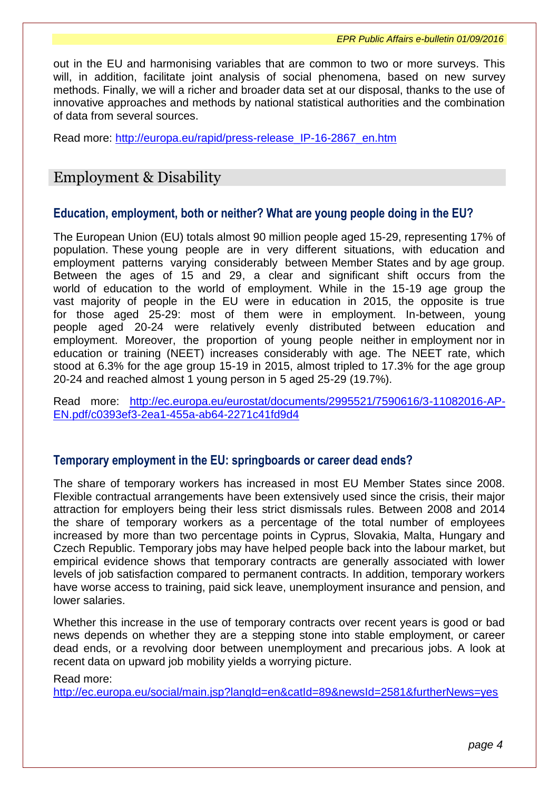*EPR Public Affairs e-bulletin 01/09/2016*

out in the EU and harmonising variables that are common to two or more surveys. This will, in addition, facilitate joint analysis of social phenomena, based on new survey methods. Finally, we will a richer and broader data set at our disposal, thanks to the use of innovative approaches and methods by national statistical authorities and the combination of data from several sources.

Read more: [http://europa.eu/rapid/press-release\\_IP-16-2867\\_en.htm](http://europa.eu/rapid/press-release_IP-16-2867_en.htm)

# Employment & Disability

#### **Education, employment, both or neither? What are young people doing in the EU?**

The European Union (EU) totals almost 90 million people aged 15-29, representing 17% of population. These young people are in very different situations, with education and employment patterns varying considerably between Member States and by age group. Between the ages of 15 and 29, a clear and significant shift occurs from the world of education to the world of employment. While in the 15-19 age group the vast majority of people in the EU were in education in 2015, the opposite is true for those aged 25-29: most of them were in employment. In-between, young people aged 20-24 were relatively evenly distributed between education and employment. Moreover, the proportion of young people neither in employment nor in education or training (NEET) increases considerably with age. The NEET rate, which stood at 6.3% for the age group 15-19 in 2015, almost tripled to 17.3% for the age group 20-24 and reached almost 1 young person in 5 aged 25-29 (19.7%).

Read more: [http://ec.europa.eu/eurostat/documents/2995521/7590616/3-11082016-AP-](http://ec.europa.eu/eurostat/documents/2995521/7590616/3-11082016-AP-EN.pdf/c0393ef3-2ea1-455a-ab64-2271c41fd9d4)[EN.pdf/c0393ef3-2ea1-455a-ab64-2271c41fd9d4](http://ec.europa.eu/eurostat/documents/2995521/7590616/3-11082016-AP-EN.pdf/c0393ef3-2ea1-455a-ab64-2271c41fd9d4)

#### **Temporary employment in the EU: springboards or career dead ends?**

The share of temporary workers has increased in most EU Member States since 2008. Flexible contractual arrangements have been extensively used since the crisis, their major attraction for employers being their less strict dismissals rules. Between 2008 and 2014 the share of temporary workers as a percentage of the total number of employees increased by more than two percentage points in Cyprus, Slovakia, Malta, Hungary and Czech Republic. Temporary jobs may have helped people back into the labour market, but empirical evidence shows that temporary contracts are generally associated with lower levels of job satisfaction compared to permanent contracts. In addition, temporary workers have worse access to training, paid sick leave, unemployment insurance and pension, and lower salaries.

Whether this increase in the use of temporary contracts over recent years is good or bad news depends on whether they are a stepping stone into stable employment, or career dead ends, or a revolving door between unemployment and precarious jobs. A look at recent data on upward job mobility yields a worrying picture.

#### Read more:

<http://ec.europa.eu/social/main.jsp?langId=en&catId=89&newsId=2581&furtherNews=yes>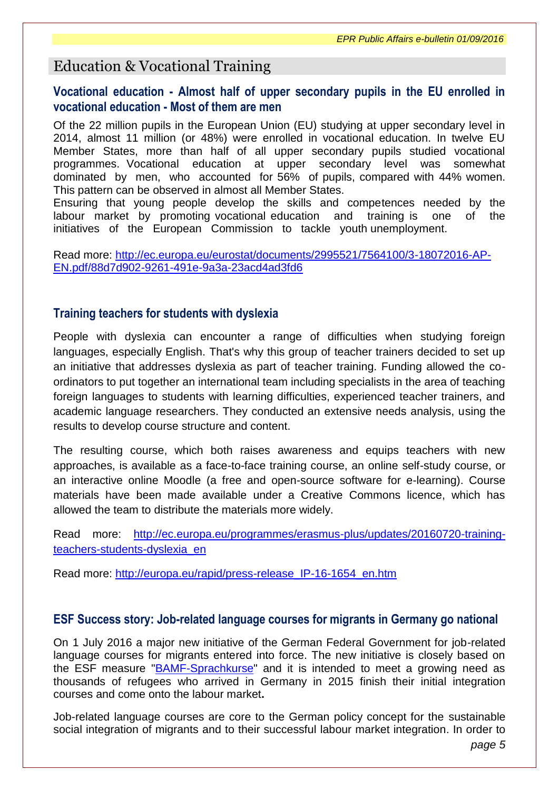# Education & Vocational Training

### **Vocational education - Almost half of upper secondary pupils in the EU enrolled in vocational education - Most of them are men**

Of the 22 million pupils in the European Union (EU) studying at upper secondary level in 2014, almost 11 million (or 48%) were enrolled in vocational education. In twelve EU Member States, more than half of all upper secondary pupils studied vocational programmes. Vocational education at upper secondary level was somewhat dominated by men, who accounted for 56% of pupils, compared with 44% women. This pattern can be observed in almost all Member States.

Ensuring that young people develop the skills and competences needed by the labour market by promoting vocational education and training is one of the initiatives of the European Commission to tackle youth unemployment.

Read more: [http://ec.europa.eu/eurostat/documents/2995521/7564100/3-18072016-AP-](http://ec.europa.eu/eurostat/documents/2995521/7564100/3-18072016-AP-EN.pdf/88d7d902-9261-491e-9a3a-23acd4ad3fd6)[EN.pdf/88d7d902-9261-491e-9a3a-23acd4ad3fd6](http://ec.europa.eu/eurostat/documents/2995521/7564100/3-18072016-AP-EN.pdf/88d7d902-9261-491e-9a3a-23acd4ad3fd6)

### **Training teachers for students with dyslexia**

People with dyslexia can encounter a range of difficulties when studying foreign languages, especially English. That's why this group of teacher trainers decided to set up an initiative that addresses dyslexia as part of teacher training. Funding allowed the coordinators to put together an international team including specialists in the area of teaching foreign languages to students with learning difficulties, experienced teacher trainers, and academic language researchers. They conducted an extensive needs analysis, using the results to develop course structure and content.

The resulting course, which both raises awareness and equips teachers with new approaches, is available as a face-to-face training course, an online self-study course, or an interactive online Moodle (a free and open-source software for e-learning). Course materials have been made available under a Creative Commons licence, which has allowed the team to distribute the materials more widely.

Read more: [http://ec.europa.eu/programmes/erasmus-plus/updates/20160720-training](http://ec.europa.eu/programmes/erasmus-plus/updates/20160720-training-teachers-students-dyslexia_en)[teachers-students-dyslexia\\_en](http://ec.europa.eu/programmes/erasmus-plus/updates/20160720-training-teachers-students-dyslexia_en)

Read more: [http://europa.eu/rapid/press-release\\_IP-16-1654\\_en.htm](http://europa.eu/rapid/press-release_IP-16-1654_en.htm)

#### **ESF Success story: Job-related language courses for migrants in Germany go national**

On 1 July 2016 a major new initiative of the German Federal Government for job-related language courses for migrants entered into force. The new initiative is closely based on the ESF measure "**BAMF-Sprachkurse**" and it is intended to meet a growing need as thousands of refugees who arrived in Germany in 2015 finish their initial integration courses and come onto the labour market**.**

Job-related language courses are core to the German policy concept for the sustainable social integration of migrants and to their successful labour market integration. In order to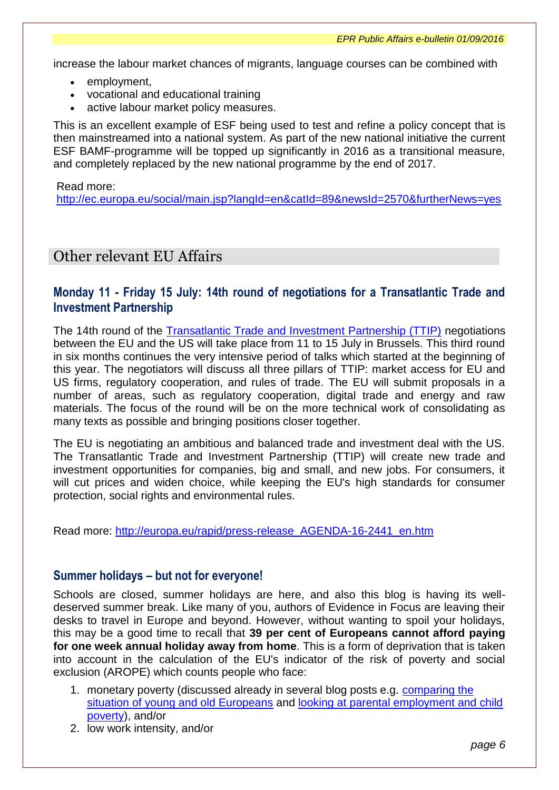increase the labour market chances of migrants, language courses can be combined with

- employment.
- vocational and educational training
- active labour market policy measures.

This is an excellent example of ESF being used to test and refine a policy concept that is then mainstreamed into a national system. As part of the new national initiative the current ESF BAMF-programme will be topped up significantly in 2016 as a transitional measure, and completely replaced by the new national programme by the end of 2017.

#### Read more:

<http://ec.europa.eu/social/main.jsp?langId=en&catId=89&newsId=2570&furtherNews=yes>

# Other relevant EU Affairs

### **Monday 11 - Friday 15 July: 14th round of negotiations for a Transatlantic Trade and Investment Partnership**

The 14th round of the [Transatlantic Trade and Investment Partnership \(TTIP\)](http://ec.europa.eu/trade/policy/in-focus/ttip/documents-and-events/) negotiations between the EU and the US will take place from 11 to 15 July in Brussels. This third round in six months continues the very intensive period of talks which started at the beginning of this year. The negotiators will discuss all three pillars of TTIP: market access for EU and US firms, regulatory cooperation, and rules of trade. The EU will submit proposals in a number of areas, such as regulatory cooperation, digital trade and energy and raw materials. The focus of the round will be on the more technical work of consolidating as many texts as possible and bringing positions closer together.

The EU is negotiating an ambitious and balanced trade and investment deal with the US. The Transatlantic Trade and Investment Partnership (TTIP) will create new trade and investment opportunities for companies, big and small, and new jobs. For consumers, it will cut prices and widen choice, while keeping the EU's high standards for consumer protection, social rights and environmental rules.

Read more: [http://europa.eu/rapid/press-release\\_AGENDA-16-2441\\_en.htm](http://europa.eu/rapid/press-release_AGENDA-16-2441_en.htm)

#### **Summer holidays – but not for everyone!**

Schools are closed, summer holidays are here, and also this blog is having its welldeserved summer break. Like many of you, authors of Evidence in Focus are leaving their desks to travel in Europe and beyond. However, without wanting to spoil your holidays, this may be a good time to recall that **39 per cent of Europeans cannot afford paying for one week annual holiday away from home**. This is a form of deprivation that is taken into account in the calculation of the EU's indicator of the risk of poverty and social exclusion (AROPE) which counts people who face:

- 1. monetary poverty (discussed already in several blog posts e.g. comparing the [situation of young and old Europeans](http://ec.europa.eu/social/main.jsp?langId=en&catId=1196&newsId=2559&furtherNews=yes) and looking at parental employment and child [poverty\)](http://ec.europa.eu/social/main.jsp?langId=en&catId=1196&newsId=2505&furtherNews=yes), and/or
- 2. low work intensity, and/or